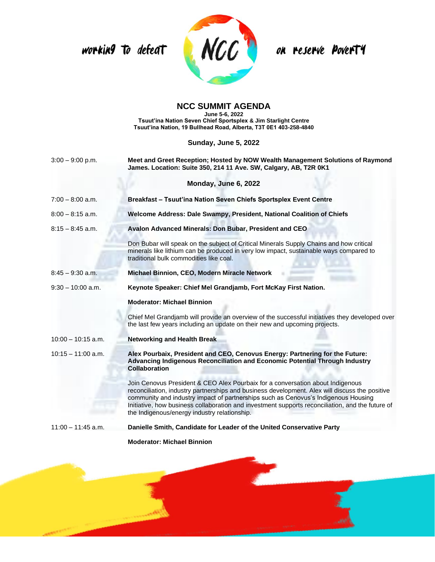working to defeat



on reserve PoverT4

## **NCC SUMMIT AGENDA**

**June 5-6, 2022 Tsuut'ina Nation Seven Chief Sportsplex & Jim Starlight Centre Tsuut'ina Nation, 19 Bullhead Road, Alberta, T3T 0E1 403-258-4840**

**Sunday, June 5, 2022**

| $3:00 - 9:00$ p.m.   | Meet and Greet Reception; Hosted by NOW Wealth Management Solutions of Raymond<br>James. Location: Suite 350, 214 11 Ave. SW, Calgary, AB, T2R 0K1                                                                                                                                                                                                                                                                         |
|----------------------|----------------------------------------------------------------------------------------------------------------------------------------------------------------------------------------------------------------------------------------------------------------------------------------------------------------------------------------------------------------------------------------------------------------------------|
|                      | Monday, June 6, 2022                                                                                                                                                                                                                                                                                                                                                                                                       |
| $7:00 - 8:00$ a.m.   | Breakfast - Tsuut'ina Nation Seven Chiefs Sportsplex Event Centre                                                                                                                                                                                                                                                                                                                                                          |
| $8:00 - 8:15$ a.m.   | Welcome Address: Dale Swampy, President, National Coalition of Chiefs                                                                                                                                                                                                                                                                                                                                                      |
| $8:15 - 8:45$ a.m.   | Avalon Advanced Minerals: Don Bubar, President and CEO                                                                                                                                                                                                                                                                                                                                                                     |
|                      | Don Bubar will speak on the subject of Critical Minerals Supply Chains and how critical<br>minerals like lithium can be produced in very low impact, sustainable ways compared to<br>traditional bulk commodities like coal.                                                                                                                                                                                               |
| $8:45 - 9:30$ a.m.   | Michael Binnion, CEO, Modern Miracle Network                                                                                                                                                                                                                                                                                                                                                                               |
| $9:30 - 10:00$ a.m.  | Keynote Speaker: Chief Mel Grandjamb, Fort McKay First Nation.                                                                                                                                                                                                                                                                                                                                                             |
|                      | <b>Moderator: Michael Binnion</b>                                                                                                                                                                                                                                                                                                                                                                                          |
|                      | Chief Mel Grandjamb will provide an overview of the successful initiatives they developed over<br>the last few years including an update on their new and upcoming projects.                                                                                                                                                                                                                                               |
| $10:00 - 10:15$ a.m. | <b>Networking and Health Break</b>                                                                                                                                                                                                                                                                                                                                                                                         |
| $10:15 - 11:00$ a.m. | Alex Pourbaix, President and CEO, Cenovus Energy: Partnering for the Future:<br>Advancing Indigenous Reconciliation and Economic Potential Through Industry<br>Collaboration                                                                                                                                                                                                                                               |
|                      | Join Cenovus President & CEO Alex Pourbaix for a conversation about Indigenous<br>reconciliation, industry partnerships and business development. Alex will discuss the positive<br>community and industry impact of partnerships such as Cenovus's Indigenous Housing<br>Initiative, how business collaboration and investment supports reconciliation, and the future of<br>the Indigenous/energy industry relationship. |
| $11:00 - 11:45$ a.m. | Danielle Smith, Candidate for Leader of the United Conservative Party                                                                                                                                                                                                                                                                                                                                                      |

**Moderator: Michael Binnion**